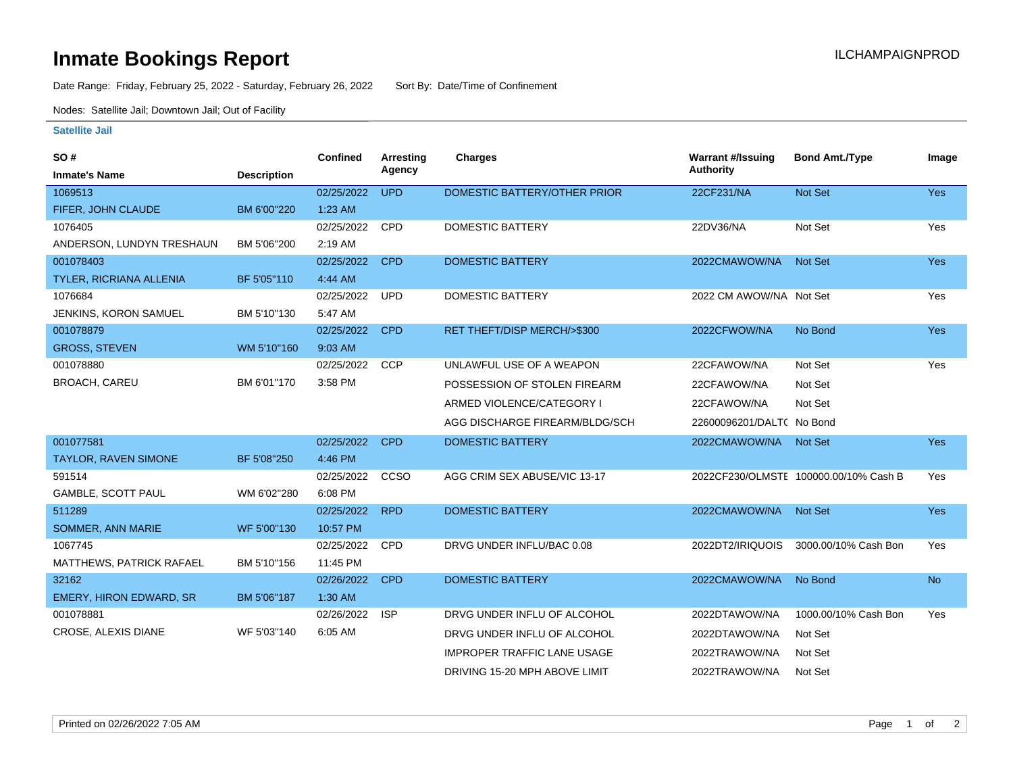# **Inmate Bookings Report Inmate Bookings Report**

Date Range: Friday, February 25, 2022 - Saturday, February 26, 2022 Sort By: Date/Time of Confinement

Nodes: Satellite Jail; Downtown Jail; Out of Facility

#### **Satellite Jail**

| SO#                          |                    | <b>Confined</b> | <b>Arresting</b> | <b>Charges</b>                     | <b>Warrant #/Issuing</b>  | <b>Bond Amt./Type</b>                 | Image      |
|------------------------------|--------------------|-----------------|------------------|------------------------------------|---------------------------|---------------------------------------|------------|
| <b>Inmate's Name</b>         | <b>Description</b> |                 | Agency           |                                    | <b>Authority</b>          |                                       |            |
| 1069513                      |                    | 02/25/2022      | <b>UPD</b>       | DOMESTIC BATTERY/OTHER PRIOR       | 22CF231/NA                | <b>Not Set</b>                        | <b>Yes</b> |
| FIFER, JOHN CLAUDE           | BM 6'00"220        | $1:23$ AM       |                  |                                    |                           |                                       |            |
| 1076405                      |                    | 02/25/2022      | CPD              | <b>DOMESTIC BATTERY</b>            | 22DV36/NA                 | Not Set                               | Yes        |
| ANDERSON, LUNDYN TRESHAUN    | BM 5'06"200        | 2:19 AM         |                  |                                    |                           |                                       |            |
| 001078403                    |                    | 02/25/2022      | <b>CPD</b>       | <b>DOMESTIC BATTERY</b>            | 2022CMAWOW/NA             | <b>Not Set</b>                        | <b>Yes</b> |
| TYLER, RICRIANA ALLENIA      | BF 5'05"110        | 4:44 AM         |                  |                                    |                           |                                       |            |
| 1076684                      |                    | 02/25/2022      | <b>UPD</b>       | DOMESTIC BATTERY                   | 2022 CM AWOW/NA Not Set   |                                       | Yes        |
| <b>JENKINS, KORON SAMUEL</b> | BM 5'10"130        | 5:47 AM         |                  |                                    |                           |                                       |            |
| 001078879                    |                    | 02/25/2022      | <b>CPD</b>       | RET THEFT/DISP MERCH/>\$300        | 2022CFWOW/NA              | No Bond                               | <b>Yes</b> |
| <b>GROSS, STEVEN</b>         | WM 5'10"160        | 9:03 AM         |                  |                                    |                           |                                       |            |
| 001078880                    |                    | 02/25/2022      | <b>CCP</b>       | UNLAWFUL USE OF A WEAPON           | 22CFAWOW/NA               | Not Set                               | Yes        |
| <b>BROACH, CAREU</b>         | BM 6'01"170        | 3:58 PM         |                  | POSSESSION OF STOLEN FIREARM       | 22CFAWOW/NA               | Not Set                               |            |
|                              |                    |                 |                  | ARMED VIOLENCE/CATEGORY I          | 22CFAWOW/NA               | Not Set                               |            |
|                              |                    |                 |                  | AGG DISCHARGE FIREARM/BLDG/SCH     | 22600096201/DALT( No Bond |                                       |            |
| 001077581                    |                    | 02/25/2022      | <b>CPD</b>       | <b>DOMESTIC BATTERY</b>            | 2022CMAWOW/NA             | Not Set                               | <b>Yes</b> |
| <b>TAYLOR, RAVEN SIMONE</b>  | BF 5'08"250        | 4:46 PM         |                  |                                    |                           |                                       |            |
| 591514                       |                    | 02/25/2022      | CCSO             | AGG CRIM SEX ABUSE/VIC 13-17       |                           | 2022CF230/OLMSTE 100000.00/10% Cash B | Yes        |
| GAMBLE, SCOTT PAUL           | WM 6'02"280        | 6:08 PM         |                  |                                    |                           |                                       |            |
| 511289                       |                    | 02/25/2022      | <b>RPD</b>       | <b>DOMESTIC BATTERY</b>            | 2022CMAWOW/NA             | <b>Not Set</b>                        | Yes        |
| SOMMER, ANN MARIE            | WF 5'00"130        | 10:57 PM        |                  |                                    |                           |                                       |            |
| 1067745                      |                    | 02/25/2022      | <b>CPD</b>       | DRVG UNDER INFLU/BAC 0.08          | 2022DT2/IRIQUOIS          | 3000.00/10% Cash Bon                  | Yes        |
| MATTHEWS, PATRICK RAFAEL     | BM 5'10"156        | 11:45 PM        |                  |                                    |                           |                                       |            |
| 32162                        |                    | 02/26/2022      | <b>CPD</b>       | <b>DOMESTIC BATTERY</b>            | 2022CMAWOW/NA             | No Bond                               | <b>No</b>  |
| EMERY, HIRON EDWARD, SR      | BM 5'06"187        | 1:30 AM         |                  |                                    |                           |                                       |            |
| 001078881                    |                    | 02/26/2022      | <b>ISP</b>       | DRVG UNDER INFLU OF ALCOHOL        | 2022DTAWOW/NA             | 1000.00/10% Cash Bon                  | Yes        |
| CROSE, ALEXIS DIANE          | WF 5'03"140        | 6:05 AM         |                  | DRVG UNDER INFLU OF ALCOHOL        | 2022DTAWOW/NA             | Not Set                               |            |
|                              |                    |                 |                  | <b>IMPROPER TRAFFIC LANE USAGE</b> | 2022TRAWOW/NA             | Not Set                               |            |
|                              |                    |                 |                  | DRIVING 15-20 MPH ABOVE LIMIT      | 2022TRAWOW/NA             | Not Set                               |            |